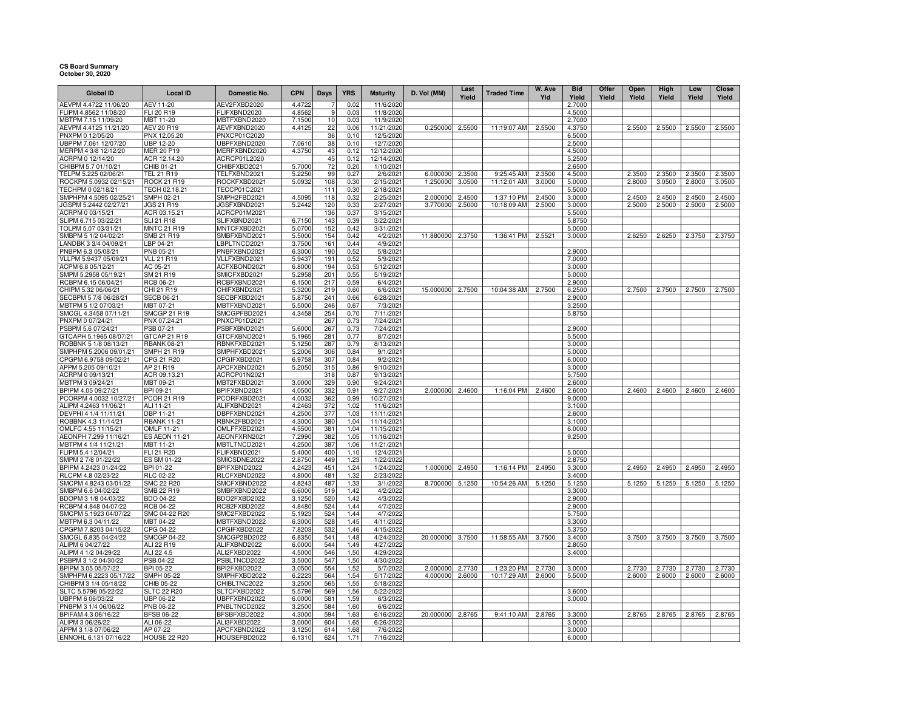## **CS Board Summary October 30, 2020**

| <b>Global ID</b>                               | <b>Local ID</b>                       | Domestic No.                 | <b>CPN</b>       | <b>Days</b>  | <b>YRS</b>   | <b>Maturity</b>         | D. Vol (MM)      | Last<br>Yield | <b>Traded Time</b> | W. Ave<br>Yld | <b>Bid</b><br>Yield | Offer<br>Yield | Open<br>Yield | High<br>Yield | Low<br>Yield | Close<br>Yield |
|------------------------------------------------|---------------------------------------|------------------------------|------------------|--------------|--------------|-------------------------|------------------|---------------|--------------------|---------------|---------------------|----------------|---------------|---------------|--------------|----------------|
| AEVPM 4.4722 11/06/20                          | <b>AEV 11-20</b>                      | AEV2FXBD2020                 | 4.4722           |              | 0.02         | 11/6/2020               |                  |               |                    |               | 2.7000              |                |               |               |              |                |
| FLIPM 4.8562 11/08/20                          | FLI 20 R19                            | FLIFXBND2020                 | 4.8562           | $\mathbf{Q}$ | 0.03         | 11/8/2020               |                  |               |                    |               | 4.5000              |                |               |               |              |                |
| MBTPM 7.15 11/09/20                            | MBT 11-20                             | MBTFXBND2020                 | 7.1500           | 10           | 0.03         | 11/9/2020               |                  |               |                    |               | 2.7000              |                |               |               |              |                |
| AEVPM 4.4125 11/21/20                          | AEV 20 R19                            | AEVFXBND2020                 | 4.4125           | 22           | 0.06         | 11/21/2020              | 0.250000         | 2.5500        | 11:19:07 AM        | 2.5500        | 4.3750              |                | 2.5500        | 2.5500        | 2.5500       | 2.5500         |
| PNXPM 0 12/05/20                               | PNX 12.05.20                          | PNXCP01C2020                 |                  | 36           | 0.10         | 12/5/2020               |                  |               |                    |               | 6.5000              |                |               |               |              |                |
| UBPPM 7.061 12/07/20<br>MERPM 4 3/8 12/12/20   | <b>UBP 12-20</b><br><b>MER 20 P19</b> | UBPFXBND2020<br>MERFXBND2020 | 7.0610<br>4.3750 | 38<br>43     | 0.10<br>0.12 | 12/7/2020<br>12/12/2020 |                  |               |                    |               | 2.5000<br>4.5000    |                |               |               |              |                |
| ACRPM 0 12/14/20                               | ACR 12.14.20                          | ACRCP01L2020                 |                  | 45           | 0.12         | 12/14/2020              |                  |               |                    |               | 5.2500              |                |               |               |              |                |
| CHIBPM 5.7 01/10/21                            | CHIB 01-21                            | CHIBFXBD2021                 | 5.7000           | 72           | 0.20         | 1/10/2021               |                  |               |                    |               | 2.6500              |                |               |               |              |                |
| TELPM 5.225 02/06/21                           | TEL 21 R19                            | TELFXBND2021                 | 5.2250           | 99           | 0.27         | 2/6/2021                | 6.000000         | 2.3500        | 9:25:45 AM         | 2.3500        | 4.5000              |                | 2.3500        | 2.3500        | 2.3500       | 2.3500         |
| ROCKPM 5.0932 02/15/21                         | <b>ROCK 21 R19</b>                    | ROCKFXBD2021                 | 5.0932           | 108          | 0.30         | 2/15/2021               | 1.250000         | 3.0500        | 11:12:01 AM        | 3.0000        | 5.0000              |                | 2.8000        | 3.0500        | 2.8000       | 3.0500         |
| TECHPM 0 02/18/21                              | TECH 02.18.21                         | TECCP01C2021                 |                  | 111          | 0.30         | 2/18/2021               |                  |               |                    |               | 5.5000              |                |               |               |              |                |
| SMPHPM 4.5095 02/25/21                         | SMPH 02-21                            | SMPH2FBD2021                 | 4.5095           | 118          | 0.32         | 2/25/2021               | 2.000000         | 2.4500        | 1:37:10 PM         | 2.4500        | 3.0000              |                | 2.4500        | 2.4500        | 2.4500       | 2.4500         |
| JGSPM 5.2442 02/27/21                          | JGS 21 R19                            | <b>IGSFXBND2021</b>          | 5.2442           | 120          | 0.33         | 2/27/2021               | 3.770000         | 2.5000        | 10:18:09 AM        | 2.5000        | 3.0000              |                | 2.5000        | 2.5000        | 2.5000       | 2.5000         |
| ACRPM 0 03/15/21                               | ACR 03.15.21                          | ACRCP01M2021                 |                  | 136          | 0.37         | 3/15/2021               |                  |               |                    |               | 5.5000              |                |               |               |              |                |
| SLIPM 6.715 03/22/21                           | <b>SLI 21 R18</b>                     | SLIFXBND2021                 | 6.7150           | 143          | 0.39         | 3/22/2021               |                  |               |                    |               | 5.8750              |                |               |               |              |                |
| TOLPM 5.07 03/31/21<br>SMBPM 5 1/2 04/02/21    | <b>MNTC 21 R19</b><br>SMB 21 R19      | MNTCFXBD2021<br>SMBFXBND2021 | 5.0700<br>5.5000 | 152<br>154   | 0.42<br>0.42 | 3/31/2021<br>4/2/2021   | 11.880000        | 2.3750        | 1:36:41 PM         | 2.5521        | 5.0000<br>3.0000    |                | 2.6250        | 2.6250        | 2.3750       | 2.3750         |
| LANDBK 3 3/4 04/09/21                          | LBP 04-21                             | LBPLTNCD2021                 | 3.7500           | 161          | 0.44         | 4/9/2021                |                  |               |                    |               |                     |                |               |               |              |                |
| PNBPM 6.3 05/08/21                             | <b>PNB 05-21</b>                      | PNBFXBND2021                 | 6.3000           | 190          | 0.52         | 5/8/2021                |                  |               |                    |               | 2.9000              |                |               |               |              |                |
| VLLPM 5.9437 05/09/21                          | <b>VLL 21 R19</b>                     | VLLFXBND2021                 | 5.9437           | 191          | 0.52         | 5/9/2021                |                  |               |                    |               | 7.0000              |                |               |               |              |                |
| ACPM 6.8 05/12/21                              | AC 05-21                              | ACFXBOND2021                 | 6.8000           | 194          | 0.53         | 5/12/2021               |                  |               |                    |               | 3.0000              |                |               |               |              |                |
| SMPM 5.2958 05/19/21                           | SM 21 R19                             | SMICFXBD2021                 | 5.2958           | 201          | 0.55         | 5/19/2021               |                  |               |                    |               | 5.0000              |                |               |               |              |                |
| RCBPM 6.15 06/04/21                            | RCB 06-21                             | RCBFXBND2021                 | 6.1500           | 217          | 0.59         | 6/4/2021                |                  |               |                    |               | 2.9000              |                |               |               |              |                |
| CHIPM 5.32 06/06/21                            | CHI 21 R19                            | CHIFXBND2021                 | 5.3200           | 219          | 0.60         | 6/6/2021                | 15.000000        | 2.7500        | 10:04:38 AM        | 2.7500        | 6.2500              |                | 2.7500        | 2.7500        | 2.7500       | 2.7500         |
| SECBPM 5 7/8 06/28/21                          | <b>SECB 06-21</b>                     | SECBFXBD2021                 | 5.8750           | 241          | 0.66         | 6/28/2021               |                  |               |                    |               | 2.9000              |                |               |               |              |                |
| MBTPM 5 1/2 07/03/21                           | MBT 07-21                             | MBTFXBND2021                 | 5.5000           | 246          | 0.67         | 7/3/2021                |                  |               |                    |               | 3.2500              |                |               |               |              |                |
| SMCGL 4.3458 07/11/21                          | <b>SMCGP 21 R19</b>                   | SMCGPFBD2021                 | 4.3458           | 254          | 0.70         | $\frac{1}{7}$ 11/2021   |                  |               |                    |               | 5.8750              |                |               |               |              |                |
| PNXPM 0 07/24/21<br>PSBPM 5.6 07/24/21         | PNX 07.24.21<br>PSB 07-21             | PNXCP01D2021<br>PSBFXBND2021 | 5.6000           | 267<br>267   | 0.73<br>0.73 | 7/24/2021<br>7/24/2021  |                  |               |                    |               | 2.9000              |                |               |               |              |                |
| GTCAPH 5.1965 08/07/21                         | GTCAP 21 R19                          | GTCFXBND2021                 | 5.1965           | 281          | 0.77         | 8/7/2021                |                  |               |                    |               | 5.5000              |                |               |               |              |                |
| ROBBNK 5 1/8 08/13/21                          | <b>RBANK 08-21</b>                    | RBNKFXBD2021                 | 5.1250           | 287          | 0.79         | 8/13/2021               |                  |               |                    |               | 3.0000              |                |               |               |              |                |
| SMPHPM 5.2006 09/01/21                         | SMPH 21 R19                           | SMPHFXBD2021                 | 5.2006           | 306          | 0.84         | 9/1/2021                |                  |               |                    |               | 5.0000              |                |               |               |              |                |
| CPGPM 6.9758 09/02/21                          | CPG 21 R20                            | CPGIFXBD2021                 | 6.9758           | 307          | 0.84         | 9/2/2021                |                  |               |                    |               | 6.0000              |                |               |               |              |                |
| APPM 5.205 09/10/21                            | AP 21 R19                             | APCFXBND2021                 | 5.2050           | 315          | 0.86         | 9/10/2021               |                  |               |                    |               | 3.0000              |                |               |               |              |                |
| ACRPM 0 09/13/21                               | ACR 09.13.21                          | ACRCP01N2021                 |                  | 318          | 0.87         | 9/13/2021               |                  |               |                    |               | 5.7500              |                |               |               |              |                |
| MBTPM 3 09/24/21                               | MBT 09-21                             | MBT2FXBD2021                 | 3.0000           | 329          | 0.90         | 9/24/2021               |                  |               |                    |               | 2.6000              |                |               |               |              |                |
| BPIPM 4.05 09/27/21                            | BPI 09-21                             | BPIFXBND2021                 | 4.0500           | 332          | 0.91         | 9/27/2021               | 2.000000         | 2.4600        | 1:16:04 PM         | 2.4600        | 2.6000              |                | 2.4600        | 2.4600        | 2.4600       | 2.4600         |
| PCORPM 4.0032 10/27/21                         | PCOR 21 R19                           | PCORFXBD2021                 | 4.0032           | 362          | 0.99         | 10/27/2021              |                  |               |                    |               | 9.0000              |                |               |               |              |                |
| ALIPM 4.2463 11/06/21<br>DEVPHI 4 1/4 11/11/21 | ALI 11-21<br>DBP 11-21                | ALIFXBND2021<br>DBPFXBND2021 | 4.2463<br>4.2500 | 372<br>377   | 1.02<br>1.03 | 11/6/2021<br>11/11/2021 |                  |               |                    |               | 3.1000<br>2.6000    |                |               |               |              |                |
| ROBBNK 4.3 11/14/21                            | <b>RBANK 11-21</b>                    | RBNK2FBD2021                 | 4.3000           | 380          | 1.04         | 11/14/2021              |                  |               |                    |               | 3.1000              |                |               |               |              |                |
| OMLFC 4.55 11/15/21                            | OMLF 11-21                            | OMLFFXBD2021                 | 4.5500           | 381          | 1.04         | 11/15/2021              |                  |               |                    |               | 6.0000              |                |               |               |              |                |
| AEONPH 7.299 11/16/21                          | <b>ES AEON 11-21</b>                  | AEONFXRN2021                 | 7.2990           | 382          | 1.05         | 11/16/2021              |                  |               |                    |               | 9.2500              |                |               |               |              |                |
| MBTPM 4 1/4 11/21/21                           | MBT 11-21                             | MBTLTNCD2021                 | 4.2500           | 387          | 1.06         | 11/21/2021              |                  |               |                    |               |                     |                |               |               |              |                |
| FLIPM 5.4 12/04/21                             | <b>FLI 21 R20</b>                     | FLIFXBND2021                 | 5.4000           | 400          | 1.10         | 12/4/2021               |                  |               |                    |               | 5.0000              |                |               |               |              |                |
| SMPM 2 7/8 01/22/22                            | ES SM 01-22                           | SMICSDNE2022                 | 2.8750           | 449          | 1.23         | 1/22/2022               |                  |               |                    |               | 2.8750              |                |               |               |              |                |
| BPIPM 4.2423 01/24/22                          | BPI 01-22                             | BPIFXBND2022                 | 4.2423           | 451          | 1.24         | 1/24/2022               | 1.000000         | 2.4950        | 1:16:14 PM         | 2.4950        | 3.3000              |                | 2.4950        | 2.4950        | 2.4950       | 2.4950         |
| RLCPM 4.8 02/23/22                             | RLC 02-22                             | RLCFXBND2022                 | 4.8000           | 481          | 1.32         | 2/23/2022               |                  |               |                    |               | 3.4000              |                |               |               |              |                |
| SMCPM 4.8243 03/01/22<br>SMBPM 6.6 04/02/22    | SMC 22 R20<br>SMB 22 R19              | SMCFXBND2022<br>SMBFXBND2022 | 4.8243<br>6.6000 | 487<br>519   | 1.33<br>1.42 | 3/1/2022<br>4/2/2022    | 8.700000         | 5.1250        | 10:54:26 AM        | 5.1250        | 5.1250<br>3.3000    |                | 5.1250        | 5.1250        | 5.1250       | 5.1250         |
| BDOPM 3 1/8 04/03/22                           | BDO 04-22                             | BDO2FXBD2022                 | 3.1250           | 520          | 1.42         | 4/3/2022                |                  |               |                    |               | 2.9000              |                |               |               |              |                |
| RCBPM 4.848 04/07/22                           | RCB 04-22                             | RCB2FXBD2022                 | 4.8480           | 524          | 1.44         | 4/7/2022                |                  |               |                    |               | 2.9000              |                |               |               |              |                |
| SMCPM 5.1923 04/07/22                          | SMC 04-22 R20                         | SMC2FXBD2022                 | 5.1923           | 524          | 1.44         | 4/7/2022                |                  |               |                    |               | 5.7500              |                |               |               |              |                |
| MBTPM 6.3 04/11/22                             | MBT 04-22                             | MBTFXBND2022                 | 6.3000           | 528          | 1.45         | 4/11/2022               |                  |               |                    |               | 3.3000              |                |               |               |              |                |
| CPGPM 7.8203 04/15/22                          | CPG 04-22                             | CPGIFXBD2022                 | 7.8203           | 532          | 1.46         | 4/15/2022               |                  |               |                    |               | 5.3750              |                |               |               |              |                |
| SMCGL 6.835 04/24/22                           | <b>SMCGP 04-22</b>                    | SMCGP2BD2022                 | 6.8350           | 541          | 1.48         | 4/24/2022               | 20.000000        | 3.7500        | 11:58:55 AM        | 3.7500        | 3.4000              |                | 3.7500        | 3.7500        | 3.7500       | 3.7500         |
| ALIPM 6 04/27/22                               | ALI 22 R19                            | ALIFXBND2022                 | 6.0000           | 544          | 1.49         | 4/27/2022               |                  |               |                    |               | 2.8050              |                |               |               |              |                |
| ALIPM 4 1/2 04/29/22                           | ALI 22 4.5                            | ALI2FXBD2022                 | 4.5000           | 546          | 1.50         | 4/29/2022               |                  |               |                    |               | 3.4000              |                |               |               |              |                |
| PSBPM 3 1/2 04/30/22<br>BPIPM 3.05 05/07/22    | PSB 04-22<br>BPI 05-22                | PSBLTNCD2022<br>BPI2FXBD2022 | 3.5000<br>3.0500 | 547<br>554   | 1.50<br>1.52 | 4/30/2022<br>5/7/2022   | 2.000000         | 2.7730        | 1:23:20 PM         | 2.7730        | 3.0000              |                | 2.7730        | 2.7730        | 2.7730       | 2.7730         |
| SMPHPM 6.2223 05/17/22                         | <b>SMPH 05-22</b>                     | SMPHFXBD2022                 | 6.2223           | 564          | 1.54         | 5/17/2022               | 4.000000         | 2.6000        | 10:17:29 AM        | 2.6000        | 5.5000              |                | 2.6000        | 2.6000        | 2.6000       | 2.6000         |
| CHIBPM 3 1/4 05/18/22                          | CHIB 05-22                            | CHIBLTNC2022                 | 3.2500           | 565          | 1.55         | 5/18/2022               |                  |               |                    |               |                     |                |               |               |              |                |
| SLTC 5.5796 05/22/22                           | <b>SLTC 22 R20</b>                    | SLTCFXBD2022                 | 5.5796           | 569          | 1.56         | 5/22/2022               |                  |               |                    |               | 3.6000              |                |               |               |              |                |
| UBPPM 6 06/03/22                               | UBP 06-22                             | UBPFXBND2022                 | 6.0000           | 581          | 1.59         | 6/3/2022                |                  |               |                    |               | 3.0000              |                |               |               |              |                |
| PNBPM 3 1/4 06/06/22                           | PNB 06-22                             | PNBLTNCD2022                 | 3.2500           | 584          | 1.60         | 6/6/2022                |                  |               |                    |               |                     |                |               |               |              |                |
| BPIFAM 4.3 06/16/22                            | <b>BFSB 06-22</b>                     | BFSBFXBD2022                 | 4.3000           | 594          | 1.63         | 6/16/2022               | 20.000000 2.8765 |               | 9:41:10 AM         | 2.8765        | 3.3000              |                | 2.8765        | 2.8765        | 2.8765       | 2.8765         |
| ALIPM 3 06/26/22                               | ALI 06-22                             | ALI3FXBD2022                 | 3.0000           | 604          | 1.65         | 6/26/2022               |                  |               |                    |               | 3.0000              |                |               |               |              |                |
| APPM 3 1/8 07/06/22                            | AP 07-22                              | APCFXBND2022                 | 3.1250           | 614          | 1.68         | 7/6/2022                |                  |               |                    |               | 3.0000              |                |               |               |              |                |
| ENNOHL 6.131 07/16/22                          | <b>HOUSE 22 R20</b>                   | HOUSEFBD2022                 | 6.1310           | 624          | 1.71         | 7/16/2022               |                  |               |                    |               | 6.0000              |                |               |               |              |                |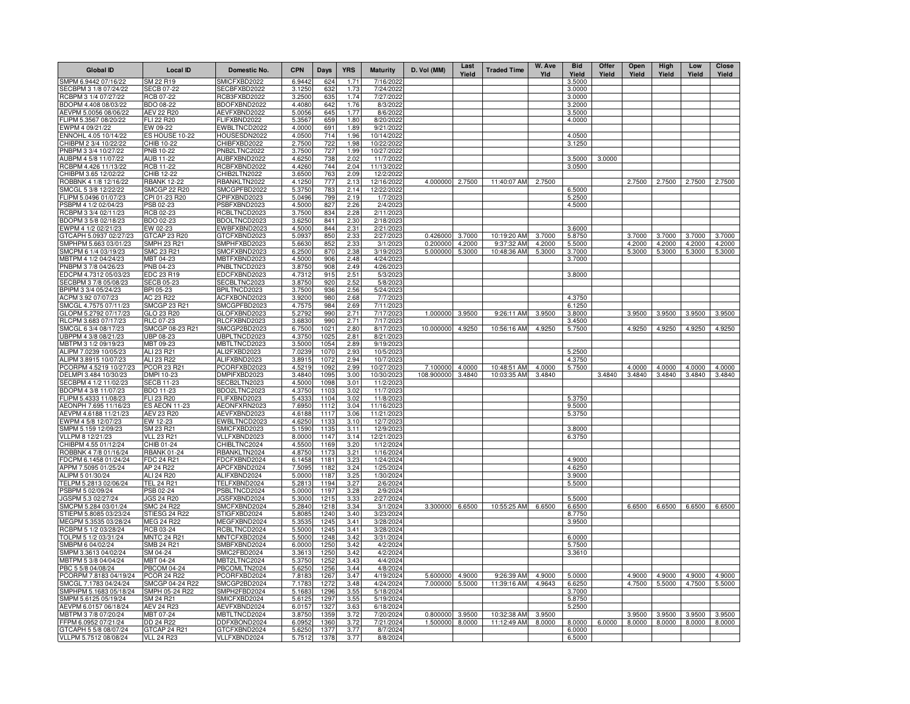| <b>Global ID</b>                                | <b>Local ID</b>                        | Domestic No.                 | <b>CPN</b>       | Days         | <b>YRS</b>   | <b>Maturity</b>         | D. Vol (MM)          | Last<br>Yield    | <b>Traded Time</b>        | W. Ave<br>Yld    | <b>Bid</b><br>Yield | Offer<br>Yield | Open<br>Yield    | High<br>Yield    | Low<br>Yield     | <b>Close</b><br>Yield |
|-------------------------------------------------|----------------------------------------|------------------------------|------------------|--------------|--------------|-------------------------|----------------------|------------------|---------------------------|------------------|---------------------|----------------|------------------|------------------|------------------|-----------------------|
| SMPM 6.9442 07/16/22                            | SM 22 R19                              | SMICFXBD2022                 | 6.9442           | 624          | 1.71         | 7/16/2022               |                      |                  |                           |                  | 3.5000              |                |                  |                  |                  |                       |
| ECBPM 3 1/8 07/24/22                            | <b>SECB 07-22</b>                      | SECBFXBD2022                 | 3.1250           | 632          | 1.73         | 7/24/2022               |                      |                  |                           |                  | 3.0000              |                |                  |                  |                  |                       |
| RCBPM 3 1/4 07/27/22                            | <b>RCB 07-22</b>                       | RCB3FXBD2022                 | 3.2500           | 635          | 1.74         | 7/27/2022               |                      |                  |                           |                  | 3.0000              |                |                  |                  |                  |                       |
| BDOPM 4.408 08/03/22<br>AEVPM 5.0056 08/06/22   | BDO 08-22<br>AEV 22 R20                | BDOFXBND2022<br>AEVFXBND2022 | 4.4080<br>5.0056 | 642<br>645   | 1.76<br>1.77 | 8/3/2022<br>8/6/2022    |                      |                  |                           |                  | 3.2000<br>3.5000    |                |                  |                  |                  |                       |
| LIPM 5.3567 08/20/22                            | FLI 22 R20                             | FLIFXBND2022                 | 5.3567           | 659          | 1.80         | 8/20/2022               |                      |                  |                           |                  | 4.0000              |                |                  |                  |                  |                       |
| EWPM 4 09/21/22                                 | EW 09-22                               | EWBLTNCD2022                 | 4.0000           | 691          | 1.89         | 9/21/2022               |                      |                  |                           |                  |                     |                |                  |                  |                  |                       |
| ENNOHL 4.05 10/14/22                            | ES HOUSE 10-22                         | HOUSESDN2022                 | 4.0500           | 714          | 1.96         | 10/14/2022              |                      |                  |                           |                  | 4.0500              |                |                  |                  |                  |                       |
| CHIBPM 2 3/4 10/22/22                           | CHIB 10-22                             | CHIBFXBD2022                 | 2.7500           | 722          | 1.98         | 10/22/2022              |                      |                  |                           |                  | 3.1250              |                |                  |                  |                  |                       |
| PNBPM 3 3/4 10/27/22                            | PNB 10-22                              | PNB2LTNC2022                 | 3.7500           | 727          | 1.99         | 10/27/2022              |                      |                  |                           |                  |                     |                |                  |                  |                  |                       |
| AUBPM 4 5/8 11/07/22                            | AUB 11-22                              | AUBFXBND2022                 | 4.6250           | 738          | 2.02         | 11/7/2022               |                      |                  |                           |                  | 3.5000              | 3.0000         |                  |                  |                  |                       |
| RCBPM 4.426 11/13/22                            | <b>RCB 11-22</b>                       | RCBFXBND2022                 | 4.4260           | 744          | 2.04         | 11/13/2022              |                      |                  |                           |                  | 3.0500              |                |                  |                  |                  |                       |
| CHIBPM 3.65 12/02/22<br>ROBBNK 4 1/8 12/16/22   | CHIB 12-22<br><b>RBANK 12-22</b>       | CHIB2LTN2022<br>RBANKLTN2022 | 3.6500<br>4.1250 | 763<br>777   | 2.09<br>2.13 | 12/2/2022<br>12/16/2022 | 4.000000             | 2.7500           | 11:40:07 AM               | 2.7500           |                     |                | 2.7500           | 2.7500           | 2.7500           | 2.7500                |
| SMCGL 5 3/8 12/22/22                            | <b>SMCGP 22 R20</b>                    | SMCGPFBD2022                 | 5.3750           | 783          | 2.14         | 12/22/2022              |                      |                  |                           |                  | 6.5000              |                |                  |                  |                  |                       |
| ELIPM 5.0496 01/07/23                           | CPI 01-23 R20                          | CPIFXBND2023                 | 5.0496           | 799          | 2.19         | 1/7/2023                |                      |                  |                           |                  | 5.2500              |                |                  |                  |                  |                       |
| PSBPM 4 1/2 02/04/23                            | PSB 02-23                              | PSBFXBND2023                 | 4.5000           | 827          | 2.26         | 2/4/2023                |                      |                  |                           |                  | 4.5000              |                |                  |                  |                  |                       |
| RCBPM 3 3/4 02/11/23                            | RCB 02-23                              | RCBLTNCD2023                 | 3.7500           | 834          | 2.28         | 2/11/2023               |                      |                  |                           |                  |                     |                |                  |                  |                  |                       |
| BDOPM 3 5/8 02/18/23                            | BDO 02-23                              | BDOLTNCD2023                 | 3.6250           | 841          | 2.30         | 2/18/2023               |                      |                  |                           |                  |                     |                |                  |                  |                  |                       |
| EWPM 4 1/2 02/21/23                             | EW 02-23                               | EWBFXBND2023                 | 4.5000           | 844          | 2.31         | 2/21/2023               |                      |                  |                           |                  | 3.6000              |                |                  |                  |                  |                       |
| GTCAPH 5.0937 02/27/23                          | GTCAP 23 R20<br>SMPH 23 R21            | GTCFXBND2023                 | 5.0937           | 850          | 2.33         | 2/27/2023               | 0.426000             | 3.7000           | 10:19:20 AM               | 3.7000<br>4.2000 | 5.8750              |                | 3.7000           | 3.7000           | 3.7000<br>4.2000 | 3.7000<br>4.2000      |
| SMPHPM 5.663 03/01/23<br>SMCPM 6 1/4 03/19/23   | SMC 23 R21                             | SMPHFXBD2023<br>SMCFXBND2023 | 5.6630<br>6.2500 | 852<br>870   | 2.33<br>2.38 | 3/1/2023<br>3/19/2023   | 0.200000<br>5.000000 | 4.2000<br>5.3000 | 9:37:32 AM<br>10:48:36 AM | 5.3000           | 5.5000<br>3.7000    |                | 4.2000<br>5.3000 | 4.2000<br>5.3000 | 5.3000           | 5.3000                |
| MBTPM 4 1/2 04/24/23                            | MBT 04-23                              | MBTFXBND2023                 | 4.5000           | 906          | 2.48         | 4/24/2023               |                      |                  |                           |                  | 3.7000              |                |                  |                  |                  |                       |
| PNBPM 3 7/8 04/26/23                            | PNB 04-23                              | PNBLTNCD2023                 | 3.8750           | 908          | 2.49         | 4/26/2023               |                      |                  |                           |                  |                     |                |                  |                  |                  |                       |
| EDCPM 4.7312 05/03/23                           | EDC 23 R19                             | EDCFXBND2023                 | 4.7312           | 915          | 2.51         | 5/3/2023                |                      |                  |                           |                  | 3.8000              |                |                  |                  |                  |                       |
| SECBPM 3 7/8 05/08/23                           | <b>SECB 05-23</b>                      | SECBLTNC2023                 | 3.8750           | 920          | 2.52         | 5/8/2023                |                      |                  |                           |                  |                     |                |                  |                  |                  |                       |
| BPIPM 3 3/4 05/24/23                            | BPI 05-23                              | BPILTNCD2023                 | 3.7500           | 936          | 2.56         | 5/24/2023               |                      |                  |                           |                  |                     |                |                  |                  |                  |                       |
| ACPM 3.92 07/07/23                              | AC 23 R22                              | ACFXBOND2023                 | 3.9200           | 980          | 2.68         | 7/7/2023                |                      |                  |                           |                  | 4.3750              |                |                  |                  |                  |                       |
| SMCGL 4.7575 07/11/23                           | <b>SMCGP 23 R21</b>                    | SMCGPFBD2023                 | 4.7575           | 984          | 2.69         | 7/11/2023               |                      |                  |                           |                  | 6.1250              |                |                  |                  |                  |                       |
| GLOPM 5.2792 07/17/23<br>RLCPM 3.683 07/17/23   | GLO 23 R20<br>RLC 07-23                | GLOFXBND2023<br>RLCFXBND2023 | 5.2792<br>3.6830 | 990<br>990   | 2.71<br>2.71 | 7/17/2023<br>7/17/2023  | 1.000000             | 3.9500           | 9:26:11 AM                | 3.9500           | 3.8000<br>3.4500    |                | 3.9500           | 3.9500           | 3.9500           | 3.9500                |
| SMCGL 6 3/4 08/17/23                            | SMCGP 08-23 R21                        | SMCGP2BD2023                 | 6.7500           | 1021         | 2.80         | 8/17/2023               | 10.000000            | 4.9250           | 10:56:16 AM               | 4.9250           | 5.7500              |                | 4.9250           | 4.9250           | 4.9250           | 4.9250                |
| UBPPM 4 3/8 08/21/23                            | <b>UBP 08-23</b>                       | UBPLTNCD2023                 | 4.3750           | 1025         | 2.81         | 8/21/2023               |                      |                  |                           |                  |                     |                |                  |                  |                  |                       |
| MBTPM 3 1/2 09/19/23                            | MBT 09-23                              | MBTLTNCD2023                 | 3.5000           | 1054         | 2.89         | 9/19/2023               |                      |                  |                           |                  |                     |                |                  |                  |                  |                       |
| ALIPM 7.0239 10/05/23                           | ALI 23 R21                             | ALI2FXBD2023                 | 7.0239           | 1070         | 2.93         | 10/5/2023               |                      |                  |                           |                  | 5.2500              |                |                  |                  |                  |                       |
| ALIPM 3.8915 10/07/23                           | ALI 23 R22                             | ALIFXBND2023                 | 3.8915           | 1072         | 2.94         | 10/7/2023               |                      |                  |                           |                  | 4.3750              |                |                  |                  |                  |                       |
| PCORPM 4.5219 10/27/23                          | <b>PCOR 23 R21</b>                     | PCORFXBD2023                 | 4.5219           | 1092         | 2.99         | 10/27/2023              | 7.100000             | 4.0000           | 10:48:51 AM               | 4.0000           | 5.7500              |                | 4.0000           | 4.0000           | 4.0000           | 4.0000                |
| DELMPI 3.484 10/30/23<br>ECBPM 4 1/2 11/02/23   | DMPI 10-23<br><b>SECB 11-23</b>        | DMPIFXBD2023<br>SECB2LTN2023 | 3.4840<br>4.5000 | 1095<br>1098 | 3.00<br>3.01 | 10/30/2023<br>11/2/2023 | 108.900000           | 3.4840           | 10:03:35 AM               | 3.4840           |                     | 3.4840         | 3.4840           | 3.4840           | 3.4840           | 3.4840                |
| BDOPM 4 3/8 11/07/23                            | <b>BDO 11-23</b>                       | BDO2LTNC2023                 | 4.3750           | 1103         | 3.02         | 11/7/2023               |                      |                  |                           |                  |                     |                |                  |                  |                  |                       |
| LIPM 5.4333 11/08/23                            | <b>FLI 23 R20</b>                      | FLIFXBND2023                 | 5.4333           | 1104         | 3.02         | 11/8/2023               |                      |                  |                           |                  | 5.3750              |                |                  |                  |                  |                       |
| AEONPH 7.695 11/16/23                           | <b>ES AEON 11-23</b>                   | AEONFXRN2023                 | 7.6950           | 1112         | 3.04         | 11/16/2023              |                      |                  |                           |                  | 9.5000              |                |                  |                  |                  |                       |
| LEVPM 4.6188 11/21/23                           | <b>AEV 23 R20</b>                      | AEVFXBND2023                 | 4.6188           | 1117         | 3.06         | 11/21/2023              |                      |                  |                           |                  | 5.3750              |                |                  |                  |                  |                       |
| WPM 4 5/8 12/07/23                              | EW 12-23                               | EWBLTNCD2023                 | 4.6250           | 1133         | 3.10         | 12/7/2023               |                      |                  |                           |                  |                     |                |                  |                  |                  |                       |
| SMPM 5.159 12/09/23                             | SM 23 R21                              | SMICFXBD2023                 | 5.1590           | 1135         | 3.11         | 12/9/2023               |                      |                  |                           |                  | 3.8000              |                |                  |                  |                  |                       |
| /LLPM 8 12/21/23                                | <b>VLL 23 R21</b>                      | VLLFXBND2023                 | 8.0000           | 1147         | 3.14         | 12/21/2023<br>1/12/2024 |                      |                  |                           |                  | 6.3750              |                |                  |                  |                  |                       |
| CHIBPM 4.55 01/12/24<br>ROBBNK 4 7/8 01/16/24   | CHIB 01-24<br><b>RBANK 01-24</b>       | CHIBLTNC2024<br>RBANKLTN2024 | 4.5500<br>4.8750 | 1169<br>1173 | 3.20<br>3.21 | 1/16/2024               |                      |                  |                           |                  |                     |                |                  |                  |                  |                       |
| DCPM 6.1458 01/24/24                            | FDC 24 R21                             | FDCFXBND2024                 | 6.1458           | 118          | 3.23         | 1/24/2024               |                      |                  |                           |                  | 4.9000              |                |                  |                  |                  |                       |
| APPM 7.5095 01/25/24                            | AP 24 R22                              | APCFXBND2024                 | 7.5095           | 1182         | 3.24         | 1/25/2024               |                      |                  |                           |                  | 4.6250              |                |                  |                  |                  |                       |
| ALIPM 5 01/30/24                                | ALI 24 R20                             | ALIFXBND2024                 | 5.0000           | 1187         | 3.25         | 1/30/2024               |                      |                  |                           |                  | 3.9000              |                |                  |                  |                  |                       |
| TELPM 5.2813 02/06/24                           | <b>TEL 24 R21</b>                      | TELFXBND2024                 | 5.2813           | 1194         | 3.27         | 2/6/2024                |                      |                  |                           |                  | 5.5000              |                |                  |                  |                  |                       |
| PSBPM 5 02/09/24                                | PSB 02-24                              | PSBLTNCD2024                 | 5.0000           | 1197         | 3.28         | 2/9/2024                |                      |                  |                           |                  |                     |                |                  |                  |                  |                       |
| GSPM 5.3 02/27/24<br>SMCPM 5.284 03/01/24       | <b>JGS 24 R20</b><br><b>SMC 24 R22</b> | JGSFXBND2024<br>SMCFXBND2024 | 5.3000<br>5.2840 | 1215<br>1218 | 3.33<br>3.34 | 2/27/2024<br>3/1/2024   | 3.300000             | 6.6500           | 10:55:25 AM               | 6.6500           | 5.5000<br>6.6500    |                | 6.6500           | 6.6500           | 6.6500           | 6.6500                |
| STIEPM 5.8085 03/23/24                          | STIESG 24 R22                          | STIGFXBD2024                 | 5.8085           | 1240         | 3.40         | 3/23/2024               |                      |                  |                           |                  | 8.7750              |                |                  |                  |                  |                       |
| MEGPM 5.3535 03/28/24                           | <b>MEG 24 R22</b>                      | MEGFXBND2024                 | 5.3535           | 1245         | 3.41         | 3/28/2024               |                      |                  |                           |                  | 3.9500              |                |                  |                  |                  |                       |
| RCBPM 5 1/2 03/28/24                            | RCB 03-24                              | RCBLTNCD2024                 | 5.5000           | 1245         | 3.41         | 3/28/2024               |                      |                  |                           |                  |                     |                |                  |                  |                  |                       |
| TOLPM 5 1/2 03/31/24                            | <b>MNTC 24 R21</b>                     | MNTCFXBD2024                 | 5.5000           | 1248         | 3.42         | 3/31/2024               |                      |                  |                           |                  | 6.0000              |                |                  |                  |                  |                       |
| SMBPM 6 04/02/24                                | SMB 24 R21                             | SMBFXBND2024                 | 6.0000           | 1250         | 3.42         | 4/2/2024                |                      |                  |                           |                  | 5.7500              |                |                  |                  |                  |                       |
| SMPM 3.3613 04/02/24                            | SM 04-24                               | SMIC2FBD2024                 | 3.3613           | 1250         | 3.42         | 4/2/2024                |                      |                  |                           |                  | 3.3610              |                |                  |                  |                  |                       |
| IBTPM 5 3/8 04/04/24                            | MBT 04-24                              | MBT2LTNC2024                 | 5.3750           | 125          | 3.43         | 4/4/2024                |                      |                  |                           |                  |                     |                |                  |                  |                  |                       |
| BC 5 5/8 04/08/24                               | <b>PBCOM 04-24</b>                     | PBCOMLTN2024                 | 5.6250           | 1256         | 3.44         | 4/8/2024                |                      |                  |                           |                  |                     |                |                  |                  |                  |                       |
| PCORPM 7.8183 04/19/24<br>SMCGL 7.1783 04/24/24 | <b>PCOR 24 R22</b><br>SMCGP 04-24 R22  | PCORFXBD2024<br>SMCGP2BD2024 | 7.8183<br>7.1783 | 126<br>1272  | 3.47<br>3.48 | 4/19/2024<br>4/24/2024  | 5.600000<br>7.000000 | 4.9000<br>5.5000 | 9:26:39 AM<br>11:39:16 AM | 4.9000<br>4.9643 | 5.0000<br>6.6250    |                | 4.9000<br>4.7500 | 4.9000<br>5.5000 | 4.9000<br>4.7500 | 4.9000<br>5.5000      |
| SMPHPM 5.1683 05/18/24                          | SMPH 05-24 R22                         | SMPH2FBD2024                 | 5.1683           | 1296         | 3.55         | 5/18/2024               |                      |                  |                           |                  | 3.7000              |                |                  |                  |                  |                       |
| SMPM 5.6125 05/19/24                            | SM 24 R21                              | SMICFXBD2024                 | 5.6125           | 1297         | 3.55         | 5/19/2024               |                      |                  |                           |                  | 5.8750              |                |                  |                  |                  |                       |
| AEVPM 6.0157 06/18/24                           | <b>AEV 24 R23</b>                      | AEVFXBND2024                 | 6.0157           | 132          | 3.63         | 6/18/2024               |                      |                  |                           |                  | 5.2500              |                |                  |                  |                  |                       |
| ABTPM 3 7/8 07/20/24                            | MBT 07-24                              | MBTLTNCD2024                 | 3.8750           | 1359         | 3.72         | 7/20/2024               | 0.800000             | 3.9500           | 10:32:38 AM               | 3.9500           |                     |                | 3.9500           | 3.9500           | 3.9500           | 3.9500                |
| FPM 6.0952 07/21/24                             | DD 24 R22                              | DDFXBOND2024                 | 6.0952           | 1360         | 3.72         | 7/21/2024               | 1.500000             | 8.0000           | 11:12:49 AM               | 8.0000           | 8.0000              | 6.0000         | 8.0000           | 8.0000           | 8.0000           | 8.0000                |
| GTCAPH 5 5/8 08/07/24                           | GTCAP 24 R21                           | GTCFXBND2024                 | 5.6250           | 1377         | 3.77         | 8/7/2024                |                      |                  |                           |                  | 6.0000              |                |                  |                  |                  |                       |
| VLLPM 5.7512 08/08/24                           | <b>VLL 24 R23</b>                      | VLLFXBND2024                 | 5.7512           | 1378         | 3.77         | 8/8/2024                |                      |                  |                           |                  | 6.5000              |                |                  |                  |                  |                       |